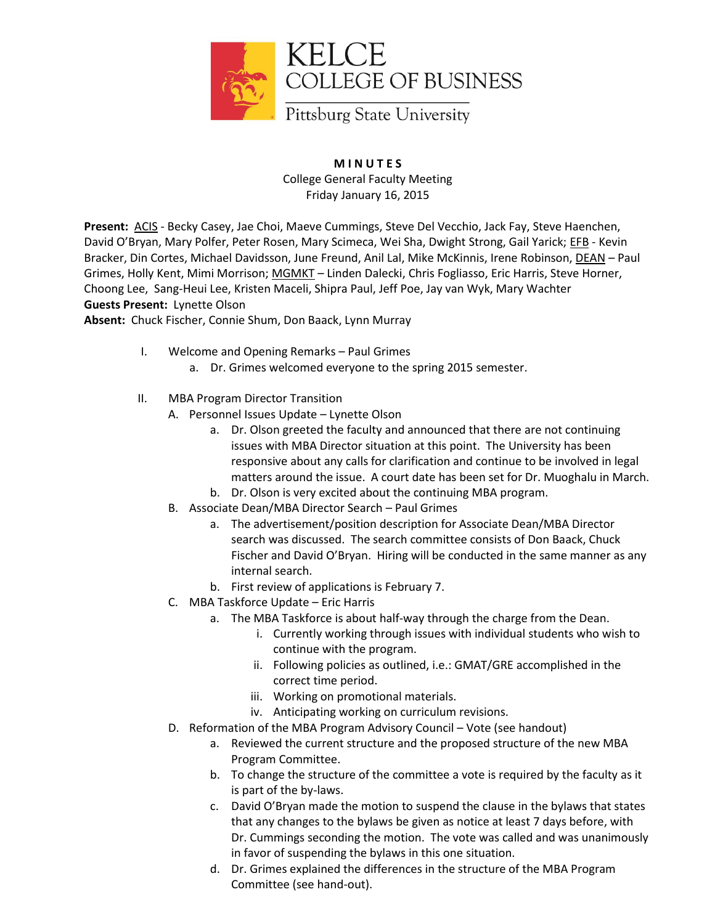

**M I N U T E S** College General Faculty Meeting Friday January 16, 2015

**Present:** ACIS - Becky Casey, Jae Choi, Maeve Cummings, Steve Del Vecchio, Jack Fay, Steve Haenchen, David O'Bryan, Mary Polfer, Peter Rosen, Mary Scimeca, Wei Sha, Dwight Strong, Gail Yarick; EFB - Kevin Bracker, Din Cortes, Michael Davidsson, June Freund, Anil Lal, Mike McKinnis, Irene Robinson, DEAN – Paul Grimes, Holly Kent, Mimi Morrison; MGMKT – Linden Dalecki, Chris Fogliasso, Eric Harris, Steve Horner, Choong Lee, Sang-Heui Lee, Kristen Maceli, Shipra Paul, Jeff Poe, Jay van Wyk, Mary Wachter **Guests Present:** Lynette Olson

**Absent:** Chuck Fischer, Connie Shum, Don Baack, Lynn Murray

- I. Welcome and Opening Remarks Paul Grimes
	- a. Dr. Grimes welcomed everyone to the spring 2015 semester.
- II. MBA Program Director Transition
	- A. Personnel Issues Update Lynette Olson
		- a. Dr. Olson greeted the faculty and announced that there are not continuing issues with MBA Director situation at this point. The University has been responsive about any calls for clarification and continue to be involved in legal matters around the issue. A court date has been set for Dr. Muoghalu in March.
		- b. Dr. Olson is very excited about the continuing MBA program.
	- B. Associate Dean/MBA Director Search Paul Grimes
		- a. The advertisement/position description for Associate Dean/MBA Director search was discussed. The search committee consists of Don Baack, Chuck Fischer and David O'Bryan. Hiring will be conducted in the same manner as any internal search.
		- b. First review of applications is February 7.
	- C. MBA Taskforce Update Eric Harris
		- a. The MBA Taskforce is about half-way through the charge from the Dean.
			- i. Currently working through issues with individual students who wish to continue with the program.
			- ii. Following policies as outlined, i.e.: GMAT/GRE accomplished in the correct time period.
			- iii. Working on promotional materials.
			- iv. Anticipating working on curriculum revisions.
	- D. Reformation of the MBA Program Advisory Council Vote (see handout)
		- a. Reviewed the current structure and the proposed structure of the new MBA Program Committee.
		- b. To change the structure of the committee a vote is required by the faculty as it is part of the by-laws.
		- c. David O'Bryan made the motion to suspend the clause in the bylaws that states that any changes to the bylaws be given as notice at least 7 days before, with Dr. Cummings seconding the motion. The vote was called and was unanimously in favor of suspending the bylaws in this one situation.
		- d. Dr. Grimes explained the differences in the structure of the MBA Program Committee (see hand-out).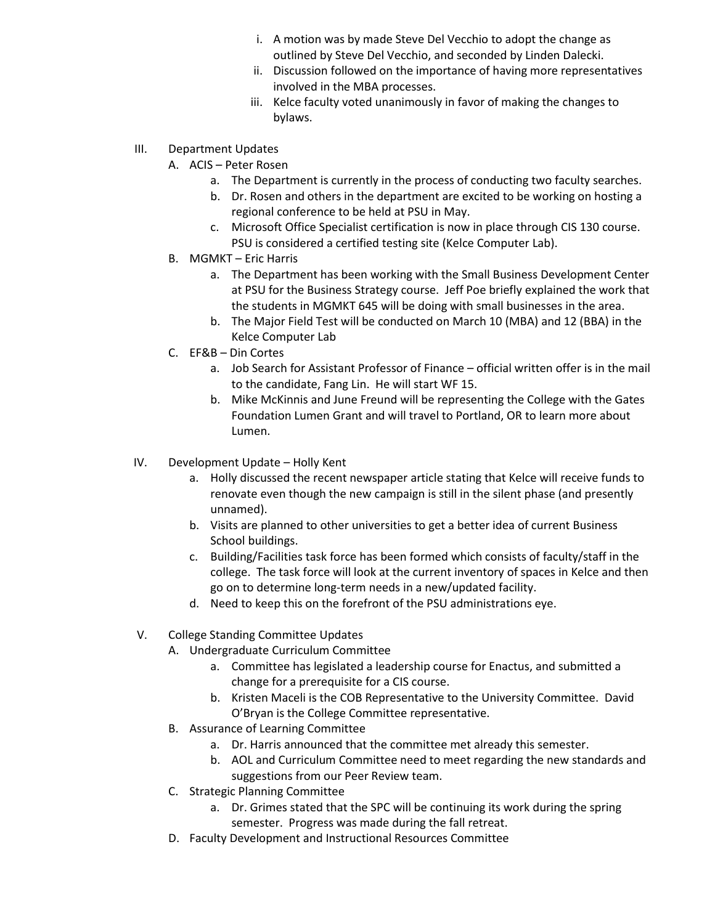- i. A motion was by made Steve Del Vecchio to adopt the change as outlined by Steve Del Vecchio, and seconded by Linden Dalecki.
- ii. Discussion followed on the importance of having more representatives involved in the MBA processes.
- iii. Kelce faculty voted unanimously in favor of making the changes to bylaws.
- III. Department Updates
	- A. ACIS Peter Rosen
		- a. The Department is currently in the process of conducting two faculty searches.
		- b. Dr. Rosen and others in the department are excited to be working on hosting a regional conference to be held at PSU in May.
		- c. Microsoft Office Specialist certification is now in place through CIS 130 course. PSU is considered a certified testing site (Kelce Computer Lab).
	- B. MGMKT Eric Harris
		- a. The Department has been working with the Small Business Development Center at PSU for the Business Strategy course. Jeff Poe briefly explained the work that the students in MGMKT 645 will be doing with small businesses in the area.
		- b. The Major Field Test will be conducted on March 10 (MBA) and 12 (BBA) in the Kelce Computer Lab
	- C. EF&B Din Cortes
		- a. Job Search for Assistant Professor of Finance official written offer is in the mail to the candidate, Fang Lin. He will start WF 15.
		- b. Mike McKinnis and June Freund will be representing the College with the Gates Foundation Lumen Grant and will travel to Portland, OR to learn more about Lumen.
- IV. Development Update Holly Kent
	- a. Holly discussed the recent newspaper article stating that Kelce will receive funds to renovate even though the new campaign is still in the silent phase (and presently unnamed).
	- b. Visits are planned to other universities to get a better idea of current Business School buildings.
	- c. Building/Facilities task force has been formed which consists of faculty/staff in the college. The task force will look at the current inventory of spaces in Kelce and then go on to determine long-term needs in a new/updated facility.
	- d. Need to keep this on the forefront of the PSU administrations eye.
- V. College Standing Committee Updates
	- A. Undergraduate Curriculum Committee
		- a. Committee has legislated a leadership course for Enactus, and submitted a change for a prerequisite for a CIS course.
		- b. Kristen Maceli is the COB Representative to the University Committee. David O'Bryan is the College Committee representative.
	- B. Assurance of Learning Committee
		- a. Dr. Harris announced that the committee met already this semester.
		- b. AOL and Curriculum Committee need to meet regarding the new standards and suggestions from our Peer Review team.
	- C. Strategic Planning Committee
		- a. Dr. Grimes stated that the SPC will be continuing its work during the spring semester. Progress was made during the fall retreat.
	- D. Faculty Development and Instructional Resources Committee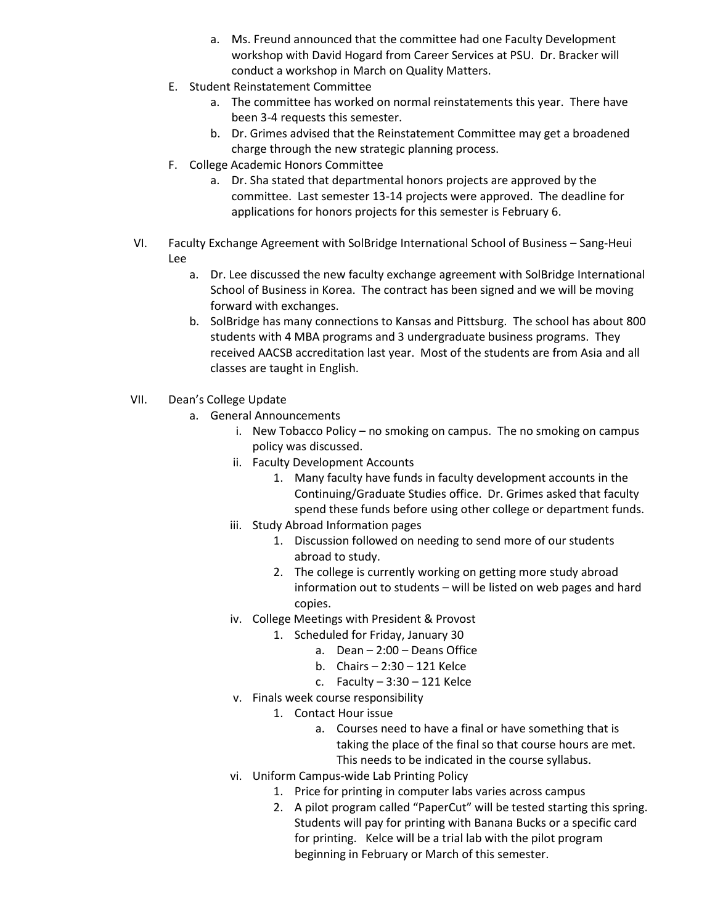- a. Ms. Freund announced that the committee had one Faculty Development workshop with David Hogard from Career Services at PSU. Dr. Bracker will conduct a workshop in March on Quality Matters.
- E. Student Reinstatement Committee
	- a. The committee has worked on normal reinstatements this year. There have been 3-4 requests this semester.
	- b. Dr. Grimes advised that the Reinstatement Committee may get a broadened charge through the new strategic planning process.
- F. College Academic Honors Committee
	- a. Dr. Sha stated that departmental honors projects are approved by the committee. Last semester 13-14 projects were approved. The deadline for applications for honors projects for this semester is February 6.
- VI. Faculty Exchange Agreement with SolBridge International School of Business Sang-Heui Lee
	- a. Dr. Lee discussed the new faculty exchange agreement with SolBridge International School of Business in Korea. The contract has been signed and we will be moving forward with exchanges.
	- b. SolBridge has many connections to Kansas and Pittsburg. The school has about 800 students with 4 MBA programs and 3 undergraduate business programs. They received AACSB accreditation last year. Most of the students are from Asia and all classes are taught in English.
- VII. Dean's College Update
	- a. General Announcements
		- i. New Tobacco Policy no smoking on campus. The no smoking on campus policy was discussed.
		- ii. Faculty Development Accounts
			- 1. Many faculty have funds in faculty development accounts in the Continuing/Graduate Studies office. Dr. Grimes asked that faculty spend these funds before using other college or department funds.
		- iii. Study Abroad Information pages
			- 1. Discussion followed on needing to send more of our students abroad to study.
			- 2. The college is currently working on getting more study abroad information out to students – will be listed on web pages and hard copies.
		- iv. College Meetings with President & Provost
			- 1. Scheduled for Friday, January 30
				- a. Dean 2:00 Deans Office
				- b. Chairs 2:30 121 Kelce
				- c. Faculty  $-3:30 121$  Kelce
		- v. Finals week course responsibility
			- 1. Contact Hour issue
				- a. Courses need to have a final or have something that is taking the place of the final so that course hours are met. This needs to be indicated in the course syllabus.
		- vi. Uniform Campus-wide Lab Printing Policy
			- 1. Price for printing in computer labs varies across campus
			- 2. A pilot program called "PaperCut" will be tested starting this spring. Students will pay for printing with Banana Bucks or a specific card for printing. Kelce will be a trial lab with the pilot program beginning in February or March of this semester.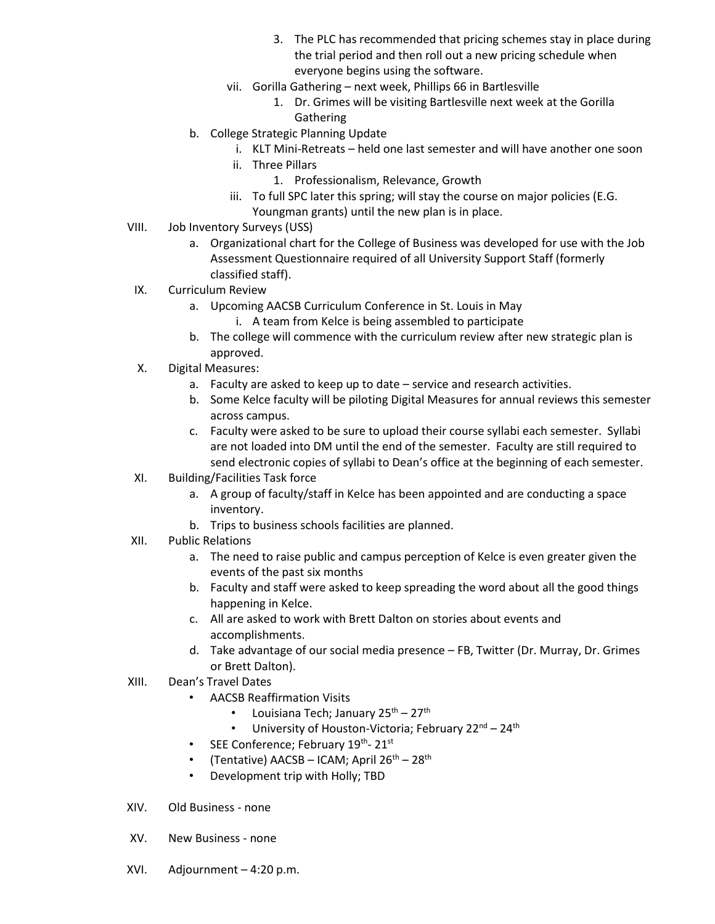- 3. The PLC has recommended that pricing schemes stay in place during the trial period and then roll out a new pricing schedule when everyone begins using the software.
- vii. Gorilla Gathering next week, Phillips 66 in Bartlesville
	- 1. Dr. Grimes will be visiting Bartlesville next week at the Gorilla Gathering
- b. College Strategic Planning Update
	- i. KLT Mini-Retreats held one last semester and will have another one soon
		- ii. Three Pillars
			- 1. Professionalism, Relevance, Growth
		- iii. To full SPC later this spring; will stay the course on major policies (E.G. Youngman grants) until the new plan is in place.
- VIII. Job Inventory Surveys (USS)
	- a. Organizational chart for the College of Business was developed for use with the Job Assessment Questionnaire required of all University Support Staff (formerly classified staff).
- IX. Curriculum Review
	- a. Upcoming AACSB Curriculum Conference in St. Louis in May
		- i. A team from Kelce is being assembled to participate
	- b. The college will commence with the curriculum review after new strategic plan is approved.
- X. Digital Measures:
	- a. Faculty are asked to keep up to date service and research activities.
	- b. Some Kelce faculty will be piloting Digital Measures for annual reviews this semester across campus.
	- c. Faculty were asked to be sure to upload their course syllabi each semester. Syllabi are not loaded into DM until the end of the semester. Faculty are still required to send electronic copies of syllabi to Dean's office at the beginning of each semester.
- XI. Building/Facilities Task force
	- a. A group of faculty/staff in Kelce has been appointed and are conducting a space inventory.
	- b. Trips to business schools facilities are planned.
- XII. Public Relations
	- a. The need to raise public and campus perception of Kelce is even greater given the events of the past six months
	- b. Faculty and staff were asked to keep spreading the word about all the good things happening in Kelce.
	- c. All are asked to work with Brett Dalton on stories about events and accomplishments.
	- d. Take advantage of our social media presence FB, Twitter (Dr. Murray, Dr. Grimes or Brett Dalton).
- XIII. Dean's Travel Dates
	- AACSB Reaffirmation Visits
		- Louisiana Tech; January 25<sup>th</sup> 27<sup>th</sup>
		- University of Houston-Victoria; February  $22^{nd} 24^{th}$
	- SEE Conference; February  $19^{th}$   $21^{st}$
	- (Tentative)  $AACSB ICAM$ ; April  $26<sup>th</sup> 28<sup>th</sup>$
	- Development trip with Holly; TBD
- XIV. Old Business none
- XV. New Business none
- XVI. Adjournment 4:20 p.m.